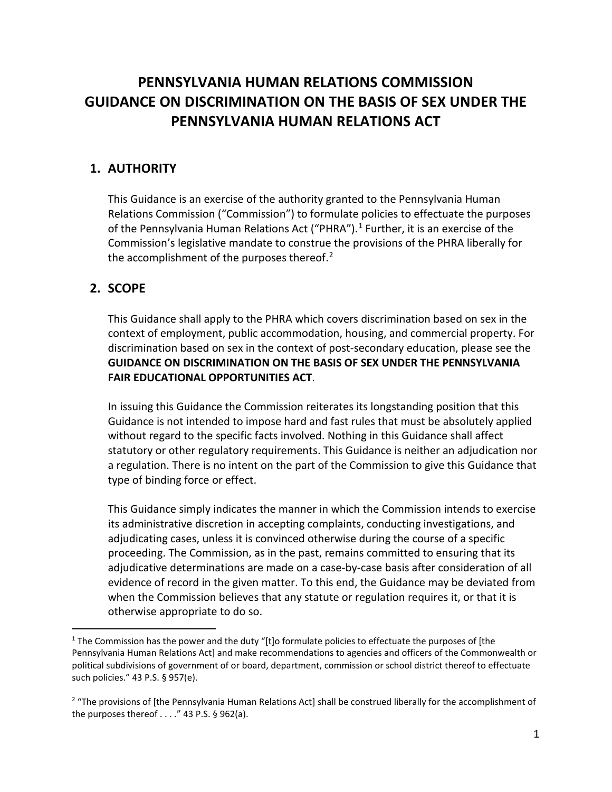# **PENNSYLVANIA HUMAN RELATIONS COMMISSION GUIDANCE ON DISCRIMINATION ON THE BASIS OF SEX UNDER THE PENNSYLVANIA HUMAN RELATIONS ACT**

## **1. AUTHORITY**

This Guidance is an exercise of the authority granted to the Pennsylvania Human Relations Commission ("Commission") to formulate policies to effectuate the purposes of the Pennsylvania Human Relations Act ("PHRA").<sup>1</sup> Further, it is an exercise of the Commission's legislative mandate to construe the provisions of the PHRA liberally for the accomplishment of the purposes thereof. $2$ 

## **2. SCOPE**

j

This Guidance shall apply to the PHRA which covers discrimination based on sex in the context of employment, public accommodation, housing, and commercial property. For discrimination based on sex in the context of post-secondary education, please see the **GUIDANCE ON DISCRIMINATION ON THE BASIS OF SEX UNDER THE PENNSYLVANIA FAIR EDUCATIONAL OPPORTUNITIES ACT**.

In issuing this Guidance the Commission reiterates its longstanding position that this Guidance is not intended to impose hard and fast rules that must be absolutely applied without regard to the specific facts involved. Nothing in this Guidance shall affect statutory or other regulatory requirements. This Guidance is neither an adjudication nor a regulation. There is no intent on the part of the Commission to give this Guidance that type of binding force or effect.

This Guidance simply indicates the manner in which the Commission intends to exercise its administrative discretion in accepting complaints, conducting investigations, and adjudicating cases, unless it is convinced otherwise during the course of a specific proceeding. The Commission, as in the past, remains committed to ensuring that its adjudicative determinations are made on a case-by-case basis after consideration of all evidence of record in the given matter. To this end, the Guidance may be deviated from when the Commission believes that any statute or regulation requires it, or that it is otherwise appropriate to do so.

 $1$  The Commission has the power and the duty "[t]o formulate policies to effectuate the purposes of [the Pennsylvania Human Relations Act] and make recommendations to agencies and officers of the Commonwealth or political subdivisions of government of or board, department, commission or school district thereof to effectuate such policies." 43 P.S. § 957(e).

<sup>&</sup>lt;sup>2</sup> "The provisions of [the Pennsylvania Human Relations Act] shall be construed liberally for the accomplishment of the purposes thereof  $\dots$ ." 43 P.S. § 962(a).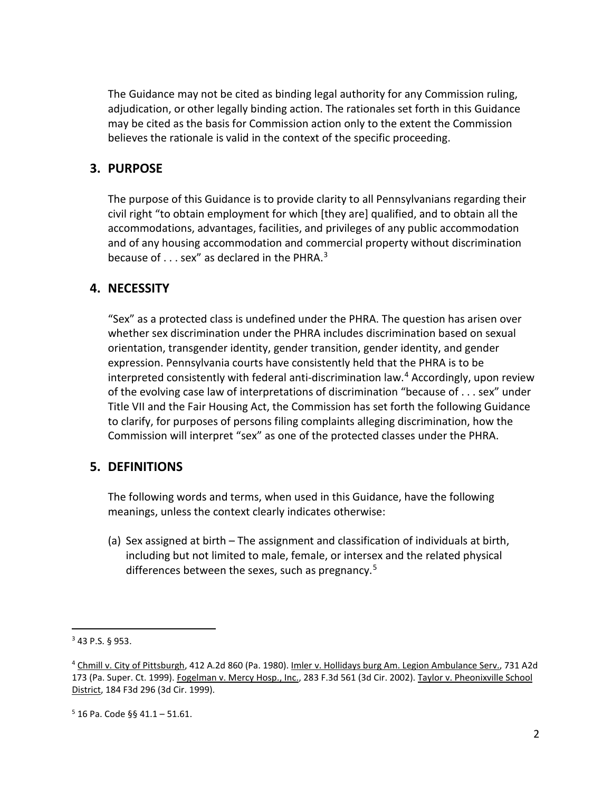The Guidance may not be cited as binding legal authority for any Commission ruling, adjudication, or other legally binding action. The rationales set forth in this Guidance may be cited as the basis for Commission action only to the extent the Commission believes the rationale is valid in the context of the specific proceeding.

## **3. PURPOSE**

The purpose of this Guidance is to provide clarity to all Pennsylvanians regarding their civil right "to obtain employment for which [they are] qualified, and to obtain all the accommodations, advantages, facilities, and privileges of any public accommodation and of any housing accommodation and commercial property without discrimination because of  $\dots$  sex" as declared in the PHRA. $^3$ 

#### **4. NECESSITY**

"Sex" as a protected class is undefined under the PHRA. The question has arisen over whether sex discrimination under the PHRA includes discrimination based on sexual orientation, transgender identity, gender transition, gender identity, and gender expression. Pennsylvania courts have consistently held that the PHRA is to be interpreted consistently with federal anti-discrimination law.<sup>4</sup> Accordingly, upon review of the evolving case law of interpretations of discrimination "because of . . . sex" under Title VII and the Fair Housing Act, the Commission has set forth the following Guidance to clarify, for purposes of persons filing complaints alleging discrimination, how the Commission will interpret "sex" as one of the protected classes under the PHRA.

#### **5. DEFINITIONS**

The following words and terms, when used in this Guidance, have the following meanings, unless the context clearly indicates otherwise:

(a) Sex assigned at birth – The assignment and classification of individuals at birth, including but not limited to male, female, or intersex and the related physical differences between the sexes, such as pregnancy.<sup>5</sup>

j

<sup>3</sup> 43 P.S. § 953.

<sup>&</sup>lt;sup>4</sup> Chmill v. City of Pittsburgh, 412 A.2d 860 (Pa. 1980). <u>Imler v. Hollidays burg Am. Legion Ambulance Serv.</u>, 731 A2d 173 (Pa. Super. Ct. 1999). Fogelman v. Mercy Hosp., Inc., 283 F.3d 561 (3d Cir. 2002). Taylor v. Pheonixville School District, 184 F3d 296 (3d Cir. 1999).

 $5$  16 Pa. Code §§ 41.1 – 51.61.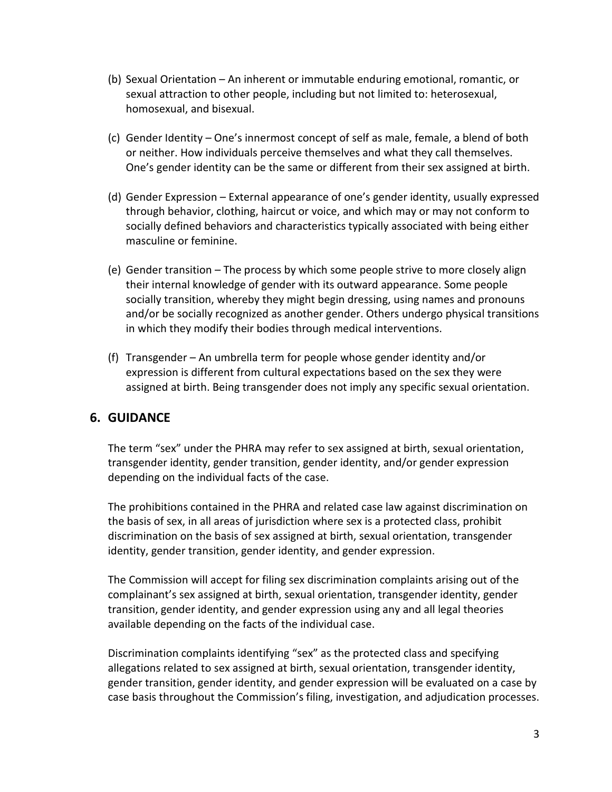- (b) Sexual Orientation An inherent or immutable enduring emotional, romantic, or sexual attraction to other people, including but not limited to: heterosexual, homosexual, and bisexual.
- (c) Gender Identity One's innermost concept of self as male, female, a blend of both or neither. How individuals perceive themselves and what they call themselves. One's gender identity can be the same or different from their sex assigned at birth.
- (d) Gender Expression External appearance of one's gender identity, usually expressed through behavior, clothing, haircut or voice, and which may or may not conform to socially defined behaviors and characteristics typically associated with being either masculine or feminine.
- (e) Gender transition The process by which some people strive to more closely align their internal knowledge of gender with its outward appearance. Some people socially transition, whereby they might begin dressing, using names and pronouns and/or be socially recognized as another gender. Others undergo physical transitions in which they modify their bodies through medical interventions.
- (f) Transgender An umbrella term for people whose gender identity and/or expression is different from cultural expectations based on the sex they were assigned at birth. Being transgender does not imply any specific sexual orientation.

# **6. GUIDANCE**

The term "sex" under the PHRA may refer to sex assigned at birth, sexual orientation, transgender identity, gender transition, gender identity, and/or gender expression depending on the individual facts of the case.

The prohibitions contained in the PHRA and related case law against discrimination on the basis of sex, in all areas of jurisdiction where sex is a protected class, prohibit discrimination on the basis of sex assigned at birth, sexual orientation, transgender identity, gender transition, gender identity, and gender expression.

The Commission will accept for filing sex discrimination complaints arising out of the complainant's sex assigned at birth, sexual orientation, transgender identity, gender transition, gender identity, and gender expression using any and all legal theories available depending on the facts of the individual case.

Discrimination complaints identifying "sex" as the protected class and specifying allegations related to sex assigned at birth, sexual orientation, transgender identity, gender transition, gender identity, and gender expression will be evaluated on a case by case basis throughout the Commission's filing, investigation, and adjudication processes.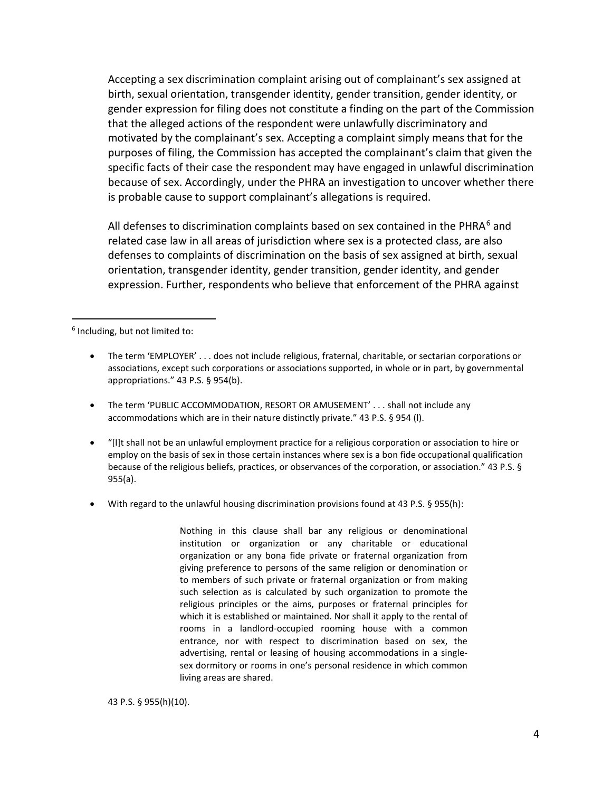Accepting a sex discrimination complaint arising out of complainant's sex assigned at birth, sexual orientation, transgender identity, gender transition, gender identity, or gender expression for filing does not constitute a finding on the part of the Commission that the alleged actions of the respondent were unlawfully discriminatory and motivated by the complainant's sex. Accepting a complaint simply means that for the purposes of filing, the Commission has accepted the complainant's claim that given the specific facts of their case the respondent may have engaged in unlawful discrimination because of sex. Accordingly, under the PHRA an investigation to uncover whether there is probable cause to support complainant's allegations is required.

All defenses to discrimination complaints based on sex contained in the PHRA $6$  and related case law in all areas of jurisdiction where sex is a protected class, are also defenses to complaints of discrimination on the basis of sex assigned at birth, sexual orientation, transgender identity, gender transition, gender identity, and gender expression. Further, respondents who believe that enforcement of the PHRA against

<sup>6</sup> Including, but not limited to:

j

- The term 'EMPLOYER' . . . does not include religious, fraternal, charitable, or sectarian corporations or associations, except such corporations or associations supported, in whole or in part, by governmental appropriations." 43 P.S. § 954(b).
- The term 'PUBLIC ACCOMMODATION, RESORT OR AMUSEMENT' . . . shall not include any accommodations which are in their nature distinctly private." 43 P.S. § 954 (l).
- "[I]t shall not be an unlawful employment practice for a religious corporation or association to hire or employ on the basis of sex in those certain instances where sex is a bon fide occupational qualification because of the religious beliefs, practices, or observances of the corporation, or association." 43 P.S. § 955(a).
- With regard to the unlawful housing discrimination provisions found at 43 P.S. § 955(h):

Nothing in this clause shall bar any religious or denominational institution or organization or any charitable or educational organization or any bona fide private or fraternal organization from giving preference to persons of the same religion or denomination or to members of such private or fraternal organization or from making such selection as is calculated by such organization to promote the religious principles or the aims, purposes or fraternal principles for which it is established or maintained. Nor shall it apply to the rental of rooms in a landlord-occupied rooming house with a common entrance, nor with respect to discrimination based on sex, the advertising, rental or leasing of housing accommodations in a singlesex dormitory or rooms in one's personal residence in which common living areas are shared.

43 P.S. § 955(h)(10).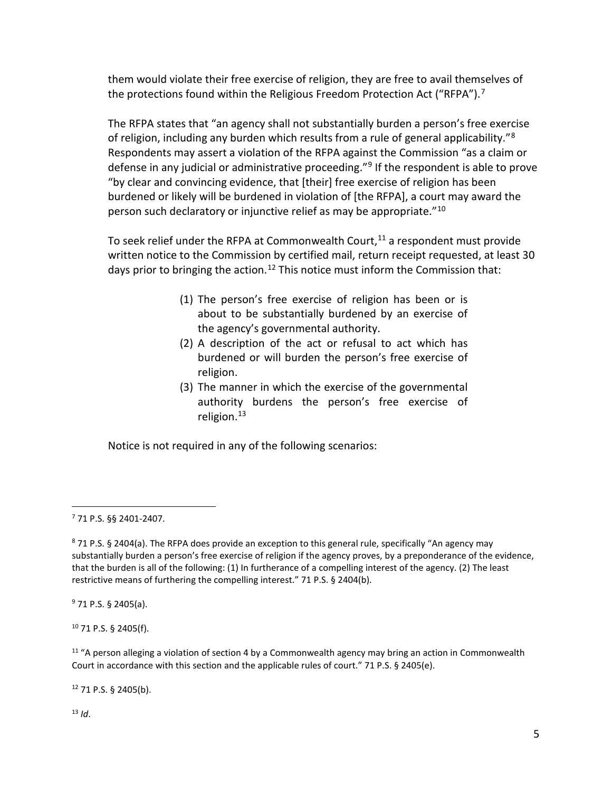them would violate their free exercise of religion, they are free to avail themselves of the protections found within the Religious Freedom Protection Act ("RFPA").<sup>7</sup>

The RFPA states that "an agency shall not substantially burden a person's free exercise of religion, including any burden which results from a rule of general applicability."<sup>8</sup> Respondents may assert a violation of the RFPA against the Commission "as a claim or defense in any judicial or administrative proceeding."<sup>9</sup> If the respondent is able to prove "by clear and convincing evidence, that [their] free exercise of religion has been burdened or likely will be burdened in violation of [the RFPA], a court may award the person such declaratory or injunctive relief as may be appropriate."<sup>10</sup>

To seek relief under the RFPA at Commonwealth Court, $11$  a respondent must provide written notice to the Commission by certified mail, return receipt requested, at least 30 days prior to bringing the action.<sup>12</sup> This notice must inform the Commission that:

- (1) The person's free exercise of religion has been or is about to be substantially burdened by an exercise of the agency's governmental authority.
- (2) A description of the act or refusal to act which has burdened or will burden the person's free exercise of religion.
- (3) The manner in which the exercise of the governmental authority burdens the person's free exercise of religion.<sup>13</sup>

Notice is not required in any of the following scenarios:

j

<sup>9</sup> 71 P.S. § 2405(a).

<sup>10</sup> 71 P.S. § 2405(f).

 $11$  "A person alleging a violation of section 4 by a Commonwealth agency may bring an action in Commonwealth Court in accordance with this section and the applicable rules of court." 71 P.S. § 2405(e).

<sup>12</sup> 71 P.S. § 2405(b).

<sup>13</sup> *Id*.

<sup>7</sup> 71 P.S. §§ 2401-2407.

<sup>8</sup> 71 P.S. § 2404(a). The RFPA does provide an exception to this general rule, specifically "An agency may substantially burden a person's free exercise of religion if the agency proves, by a preponderance of the evidence, that the burden is all of the following: (1) In furtherance of a compelling interest of the agency. (2) The least restrictive means of furthering the compelling interest." 71 P.S. § 2404(b).